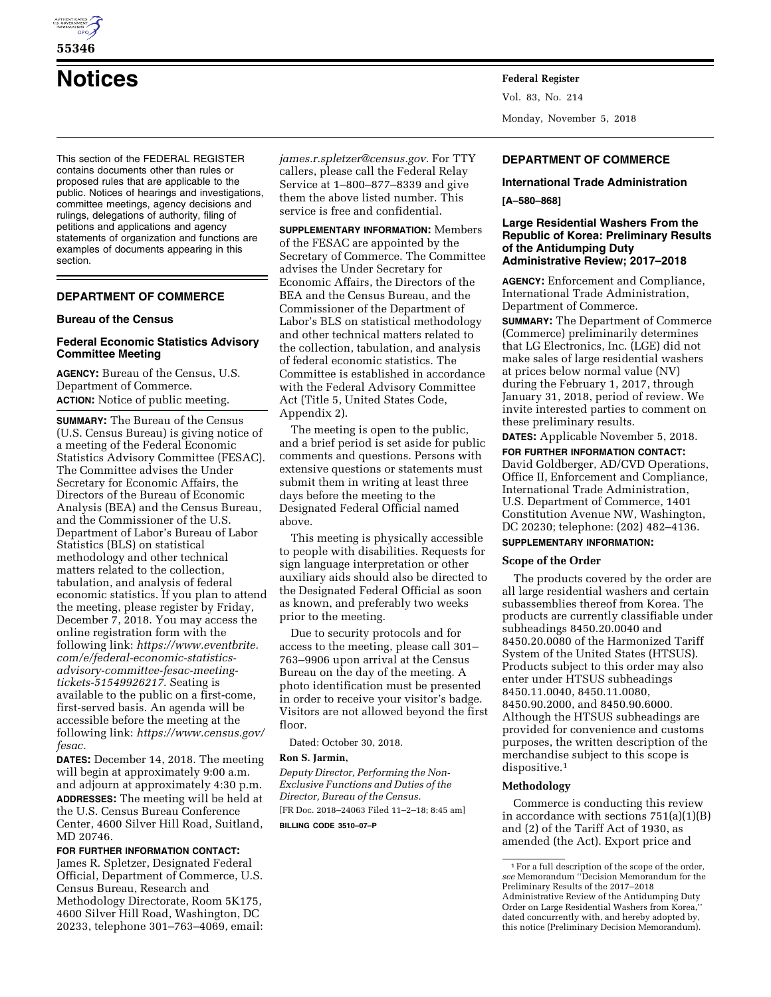

# **55346**

# **Notices Federal Register**

This section of the FEDERAL REGISTER contains documents other than rules or proposed rules that are applicable to the public. Notices of hearings and investigations, committee meetings, agency decisions and rulings, delegations of authority, filing of petitions and applications and agency statements of organization and functions are examples of documents appearing in this section.

# **DEPARTMENT OF COMMERCE**

# **Bureau of the Census**

# **Federal Economic Statistics Advisory Committee Meeting**

**AGENCY:** Bureau of the Census, U.S. Department of Commerce. **ACTION:** Notice of public meeting.

**SUMMARY:** The Bureau of the Census (U.S. Census Bureau) is giving notice of a meeting of the Federal Economic Statistics Advisory Committee (FESAC). The Committee advises the Under Secretary for Economic Affairs, the Directors of the Bureau of Economic Analysis (BEA) and the Census Bureau, and the Commissioner of the U.S. Department of Labor's Bureau of Labor Statistics (BLS) on statistical methodology and other technical matters related to the collection, tabulation, and analysis of federal economic statistics. If you plan to attend the meeting, please register by Friday, December 7, 2018. You may access the online registration form with the following link: *[https://www.eventbrite.](https://www.eventbrite.com/e/federal-economic-statistics-advisory-committee-fesac-meeting-tickets-51549926217) [com/e/federal-economic-statistics](https://www.eventbrite.com/e/federal-economic-statistics-advisory-committee-fesac-meeting-tickets-51549926217)[advisory-committee-fesac-meeting](https://www.eventbrite.com/e/federal-economic-statistics-advisory-committee-fesac-meeting-tickets-51549926217)[tickets-51549926217.](https://www.eventbrite.com/e/federal-economic-statistics-advisory-committee-fesac-meeting-tickets-51549926217)* Seating is available to the public on a first-come, first-served basis. An agenda will be accessible before the meeting at the following link: *[https://www.census.gov/](https://www.census.gov/fesac) [fesac.](https://www.census.gov/fesac)* 

**DATES:** December 14, 2018. The meeting will begin at approximately 9:00 a.m. and adjourn at approximately 4:30 p.m. **ADDRESSES:** The meeting will be held at the U.S. Census Bureau Conference Center, 4600 Silver Hill Road, Suitland, MD 20746.

# **FOR FURTHER INFORMATION CONTACT:**

James R. Spletzer, Designated Federal Official, Department of Commerce, U.S. Census Bureau, Research and Methodology Directorate, Room 5K175, 4600 Silver Hill Road, Washington, DC 20233, telephone 301–763–4069, email: *[james.r.spletzer@census.gov.](mailto:james.r.spletzer@census.gov)* For TTY callers, please call the Federal Relay Service at 1–800–877–8339 and give them the above listed number. This service is free and confidential.

**SUPPLEMENTARY INFORMATION:** Members of the FESAC are appointed by the Secretary of Commerce. The Committee advises the Under Secretary for Economic Affairs, the Directors of the BEA and the Census Bureau, and the Commissioner of the Department of Labor's BLS on statistical methodology and other technical matters related to the collection, tabulation, and analysis of federal economic statistics. The Committee is established in accordance with the Federal Advisory Committee Act (Title 5, United States Code, Appendix 2).

The meeting is open to the public, and a brief period is set aside for public comments and questions. Persons with extensive questions or statements must submit them in writing at least three days before the meeting to the Designated Federal Official named above.

This meeting is physically accessible to people with disabilities. Requests for sign language interpretation or other auxiliary aids should also be directed to the Designated Federal Official as soon as known, and preferably two weeks prior to the meeting.

Due to security protocols and for access to the meeting, please call 301– 763–9906 upon arrival at the Census Bureau on the day of the meeting. A photo identification must be presented in order to receive your visitor's badge. Visitors are not allowed beyond the first floor.

Dated: October 30, 2018.

#### **Ron S. Jarmin,**

*Deputy Director, Performing the Non-Exclusive Functions and Duties of the Director, Bureau of the Census.*  [FR Doc. 2018–24063 Filed 11–2–18; 8:45 am]

**BILLING CODE 3510–07–P** 

Vol. 83, No. 214 Monday, November 5, 2018

# **DEPARTMENT OF COMMERCE**

#### **International Trade Administration**

#### **[A–580–868]**

#### **Large Residential Washers From the Republic of Korea: Preliminary Results of the Antidumping Duty Administrative Review; 2017–2018**

**AGENCY:** Enforcement and Compliance, International Trade Administration, Department of Commerce.

**SUMMARY:** The Department of Commerce (Commerce) preliminarily determines that LG Electronics, Inc. (LGE) did not make sales of large residential washers at prices below normal value (NV) during the February 1, 2017, through January 31, 2018, period of review. We invite interested parties to comment on these preliminary results.

**DATES:** Applicable November 5, 2018. **FOR FURTHER INFORMATION CONTACT:**  David Goldberger, AD/CVD Operations, Office II, Enforcement and Compliance, International Trade Administration, U.S. Department of Commerce, 1401 Constitution Avenue NW, Washington, DC 20230; telephone: (202) 482–4136.

# **SUPPLEMENTARY INFORMATION:**

#### **Scope of the Order**

The products covered by the order are all large residential washers and certain subassemblies thereof from Korea. The products are currently classifiable under subheadings 8450.20.0040 and 8450.20.0080 of the Harmonized Tariff System of the United States (HTSUS). Products subject to this order may also enter under HTSUS subheadings 8450.11.0040, 8450.11.0080, 8450.90.2000, and 8450.90.6000. Although the HTSUS subheadings are provided for convenience and customs purposes, the written description of the merchandise subject to this scope is dispositive.<sup>1</sup>

#### **Methodology**

Commerce is conducting this review in accordance with sections 751(a)(1)(B) and (2) of the Tariff Act of 1930, as amended (the Act). Export price and

 $^{\rm 1}\mathrm{For}$  a full description of the scope of the order, *see* Memorandum ''Decision Memorandum for the Preliminary Results of the 2017–2018 Administrative Review of the Antidumping Duty Order on Large Residential Washers from Korea,'' dated concurrently with, and hereby adopted by, this notice (Preliminary Decision Memorandum).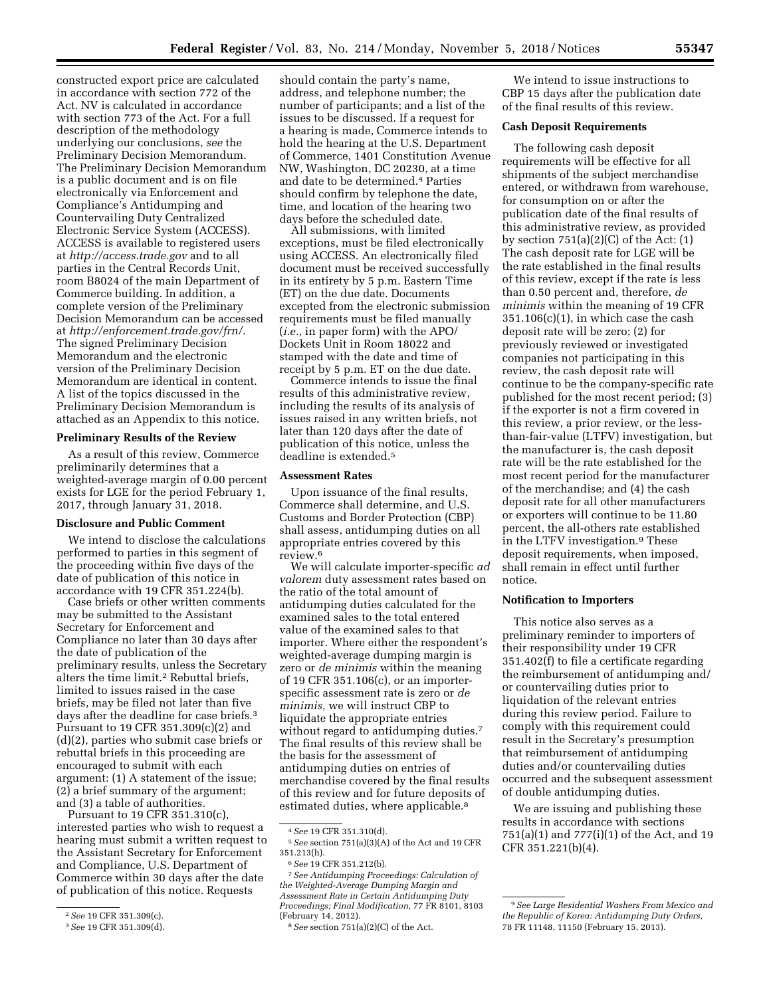constructed export price are calculated in accordance with section 772 of the Act. NV is calculated in accordance with section 773 of the Act. For a full description of the methodology underlying our conclusions, *see* the Preliminary Decision Memorandum. The Preliminary Decision Memorandum is a public document and is on file electronically via Enforcement and Compliance's Antidumping and Countervailing Duty Centralized Electronic Service System (ACCESS). ACCESS is available to registered users at *<http://access.trade.gov>*and to all parties in the Central Records Unit, room B8024 of the main Department of Commerce building. In addition, a complete version of the Preliminary Decision Memorandum can be accessed at *[http://enforcement.trade.gov/frn/.](http://enforcement.trade.gov/frn/)*  The signed Preliminary Decision Memorandum and the electronic version of the Preliminary Decision Memorandum are identical in content. A list of the topics discussed in the Preliminary Decision Memorandum is attached as an Appendix to this notice.

#### **Preliminary Results of the Review**

As a result of this review, Commerce preliminarily determines that a weighted-average margin of 0.00 percent exists for LGE for the period February 1, 2017, through January 31, 2018.

#### **Disclosure and Public Comment**

We intend to disclose the calculations performed to parties in this segment of the proceeding within five days of the date of publication of this notice in accordance with 19 CFR 351.224(b).

Case briefs or other written comments may be submitted to the Assistant Secretary for Enforcement and Compliance no later than 30 days after the date of publication of the preliminary results, unless the Secretary alters the time limit.2 Rebuttal briefs, limited to issues raised in the case briefs, may be filed not later than five days after the deadline for case briefs.3 Pursuant to 19 CFR 351.309(c)(2) and (d)(2), parties who submit case briefs or rebuttal briefs in this proceeding are encouraged to submit with each argument: (1) A statement of the issue; (2) a brief summary of the argument; and (3) a table of authorities.

Pursuant to 19 CFR 351.310(c), interested parties who wish to request a hearing must submit a written request to the Assistant Secretary for Enforcement and Compliance, U.S. Department of Commerce within 30 days after the date of publication of this notice. Requests

should contain the party's name, address, and telephone number; the number of participants; and a list of the issues to be discussed. If a request for a hearing is made, Commerce intends to hold the hearing at the U.S. Department of Commerce, 1401 Constitution Avenue NW, Washington, DC 20230, at a time and date to be determined.4 Parties should confirm by telephone the date, time, and location of the hearing two days before the scheduled date.

All submissions, with limited exceptions, must be filed electronically using ACCESS. An electronically filed document must be received successfully in its entirety by 5 p.m. Eastern Time (ET) on the due date. Documents excepted from the electronic submission requirements must be filed manually (*i.e.,* in paper form) with the APO/ Dockets Unit in Room 18022 and stamped with the date and time of receipt by 5 p.m. ET on the due date.

Commerce intends to issue the final results of this administrative review, including the results of its analysis of issues raised in any written briefs, not later than 120 days after the date of publication of this notice, unless the deadline is extended.5

#### **Assessment Rates**

Upon issuance of the final results, Commerce shall determine, and U.S. Customs and Border Protection (CBP) shall assess, antidumping duties on all appropriate entries covered by this review.6

We will calculate importer-specific *ad valorem* duty assessment rates based on the ratio of the total amount of antidumping duties calculated for the examined sales to the total entered value of the examined sales to that importer. Where either the respondent's weighted-average dumping margin is zero or *de minimis* within the meaning of 19 CFR 351.106(c), or an importerspecific assessment rate is zero or *de minimis,* we will instruct CBP to liquidate the appropriate entries without regard to antidumping duties.<sup>7</sup> The final results of this review shall be the basis for the assessment of antidumping duties on entries of merchandise covered by the final results of this review and for future deposits of estimated duties, where applicable.8

7*See Antidumping Proceedings: Calculation of the Weighted-Average Dumping Margin and Assessment Rate in Certain Antidumping Duty Proceedings; Final Modification,* 77 FR 8101, 8103 (February 14, 2012).

We intend to issue instructions to CBP 15 days after the publication date of the final results of this review.

#### **Cash Deposit Requirements**

The following cash deposit requirements will be effective for all shipments of the subject merchandise entered, or withdrawn from warehouse, for consumption on or after the publication date of the final results of this administrative review, as provided by section  $751(a)(2)(C)$  of the Act:  $(1)$ The cash deposit rate for LGE will be the rate established in the final results of this review, except if the rate is less than 0.50 percent and, therefore, *de minimis* within the meaning of 19 CFR  $351.106(c)(1)$ , in which case the cash deposit rate will be zero; (2) for previously reviewed or investigated companies not participating in this review, the cash deposit rate will continue to be the company-specific rate published for the most recent period; (3) if the exporter is not a firm covered in this review, a prior review, or the lessthan-fair-value (LTFV) investigation, but the manufacturer is, the cash deposit rate will be the rate established for the most recent period for the manufacturer of the merchandise; and (4) the cash deposit rate for all other manufacturers or exporters will continue to be 11.80 percent, the all-others rate established in the LTFV investigation.9 These deposit requirements, when imposed, shall remain in effect until further notice.

#### **Notification to Importers**

This notice also serves as a preliminary reminder to importers of their responsibility under 19 CFR 351.402(f) to file a certificate regarding the reimbursement of antidumping and/ or countervailing duties prior to liquidation of the relevant entries during this review period. Failure to comply with this requirement could result in the Secretary's presumption that reimbursement of antidumping duties and/or countervailing duties occurred and the subsequent assessment of double antidumping duties.

We are issuing and publishing these results in accordance with sections 751(a)(1) and 777(i)(1) of the Act, and 19 CFR 351.221(b)(4).

<sup>2</sup>*See* 19 CFR 351.309(c).

<sup>3</sup>*See* 19 CFR 351.309(d).

<sup>4</sup>*See* 19 CFR 351.310(d).

<sup>5</sup>*See* section 751(a)(3)(A) of the Act and 19 CFR 351.213(h).

<sup>6</sup>*See* 19 CFR 351.212(b).

<sup>8</sup>*See* section 751(a)(2)(C) of the Act.

<sup>9</sup>*See Large Residential Washers From Mexico and the Republic of Korea: Antidumping Duty Orders,*  78 FR 11148, 11150 (February 15, 2013).